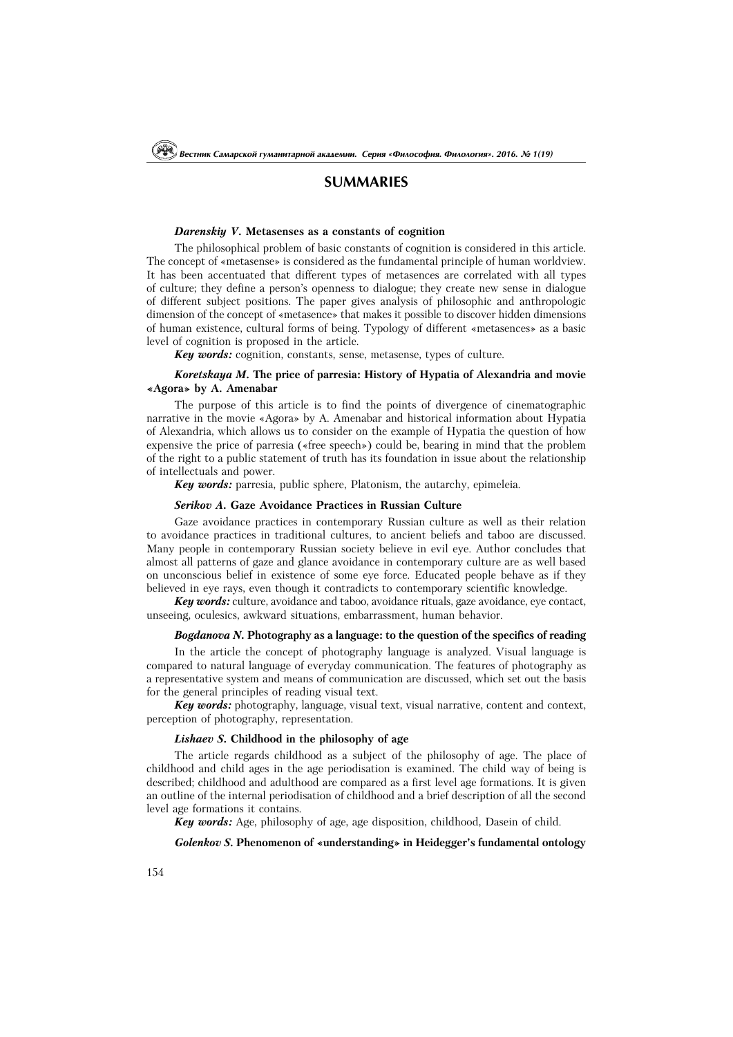## **SUMMARIES**

#### *Darenskiy V.* **Metasenses as a constants of cognition**

The philosophical problem of basic constants of cognition is considered in this article. The concept of «metasense» is considered as the fundamental principle of human worldview. It has been accentuated that different types of metasences are correlated with all types of culture; they define a person's openness to dialogue; they create new sense in dialogue of different subject positions. The paper gives analysis of philosophic and anthropologic dimension of the concept of «metasence» that makes it possible to discover hidden dimensions of human existence, cultural forms of being. Typology of different «metasences» as a basic level of cognition is proposed in the article.

*Key words:* cognition, constants, sense, metasense, types of culture.

### *Koretskaya M.* **The price of parresia: History of Hypatia of Alexandria and movie «Agora» by A. Amenabar**

The purpose of this article is to find the points of divergence of cinematographic narrative in the movie «Agora» by A. Amenabar and historical information about Hypatia of Alexandria, which allows us to consider on the example of Hypatia the question of how expensive the price of parresia («free speech») could be, bearing in mind that the problem of the right to a public statement of truth has its foundation in issue about the relationship of intellectuals and power.

*Key words:* parresia, public sphere, Platonism, the autarchy, epimeleia.

### *Serikov A.* **Gaze Avoidance Practices in Russian Culture**

Gaze avoidance practices in contemporary Russian culture as well as their relation to avoidance practices in traditional cultures, to ancient beliefs and taboo are discussed. Many people in contemporary Russian society believe in evil eye. Author concludes that almost all patterns of gaze and glance avoidance in contemporary culture are as well based on unconscious belief in existence of some eye force. Educated people behave as if they believed in eye rays, even though it contradicts to contemporary scientific knowledge.

*Key words:* culture, avoidance and taboo, avoidance rituals, gaze avoidance, eye contact, unseeing, oculesics, awkward situations, embarrassment, human behavior.

#### *Bogdanova N.* **Photography as a language: to the question of the specifics of reading**

In the article the concept of photography language is analyzed. Visual language is compared to natural language of everyday communication. The features of photography as a representative system and means of communication are discussed, which set out the basis for the general principles of reading visual text.

*Key words:* photography, language, visual text, visual narrative, content and context, perception of photography, representation.

## *Lishaev S.* **Childhood in the philosophy of age**

The article regards childhood as a subject of the philosophy of age. The place of childhood and child ages in the age periodisation is examined. The child way of being is described; childhood and adulthood are compared as a first level age formations. It is given an outline of the internal periodisation of childhood and a brief description of all the second level age formations it contains.

*Key words:* Age, philosophy of age, age disposition, childhood, Dasein of child.

#### *Golenkov S.* **Phenomenon of «understanding» in Heidegger's fundamental ontology**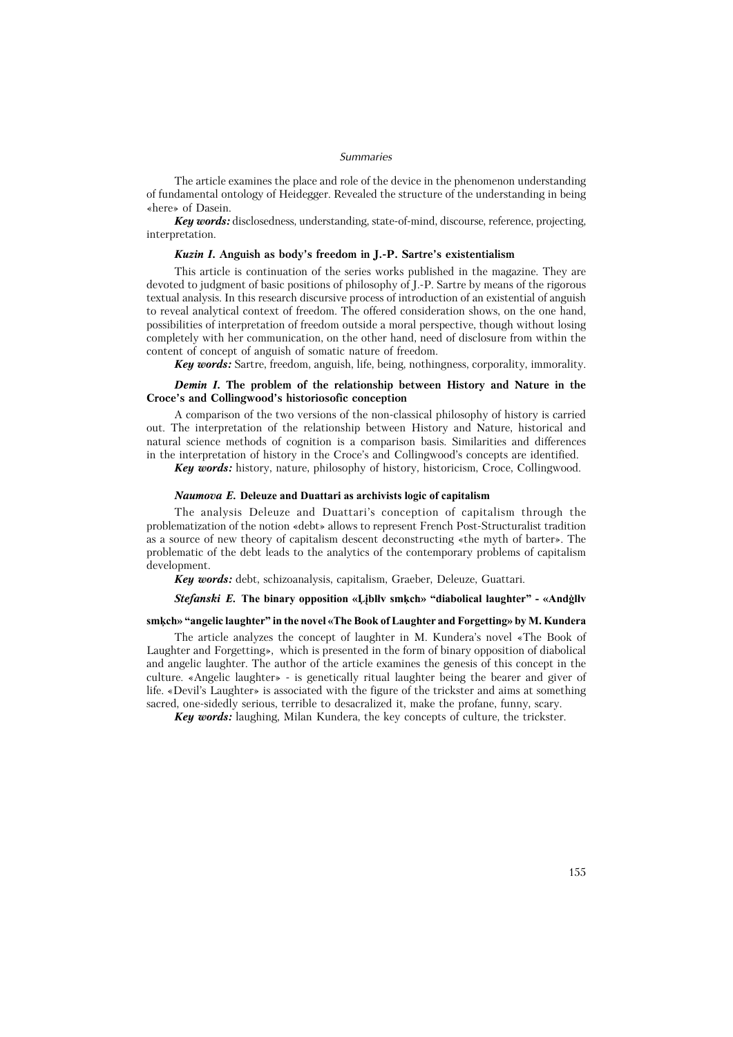### Summaries

The article examines the place and role of the device in the phenomenon understanding of fundamental ontology of Heidegger. Revealed the structure of the understanding in being «here» of Dasein.

**Key words:** disclosedness, understanding, state-of-mind, discourse, reference, projecting, interpretation.

### Kuzin I. Anguish as body's freedom in J.-P. Sartre's existentialism

This article is continuation of the series works published in the magazine. They are devoted to judgment of basic positions of philosophy of J.-P. Sartre by means of the rigorous textual analysis. In this research discursive process of introduction of an existential of anguish to reveal analytical context of freedom. The offered consideration shows, on the one hand, possibilities of interpretation of freedom outside a moral perspective, though without losing completely with her communication, on the other hand, need of disclosure from within the content of concept of anguish of somatic nature of freedom.

**Key words:** Sartre, freedom, anguish, life, being, nothingness, corporality, immorality.

### Demin I. The problem of the relationship between History and Nature in the Croce's and Collingwood's historiosofic conception

A comparison of the two versions of the non-classical philosophy of history is carried out. The interpretation of the relationship between History and Nature, historical and natural science methods of cognition is a comparison basis. Similarities and differences in the interpretation of history in the Croce's and Collingwood's concepts are identified.

Key words: history, nature, philosophy of history, historicism, Croce, Collingwood.

#### Naumova E. Deleuze and Duattari as archivists logic of capitalism

The analysis Deleuze and Duattari's conception of capitalism through the problematization of the notion «debt» allows to represent French Post-Structuralist tradition as a source of new theory of capitalism descent deconstructing «the myth of barter». The problematic of the debt leads to the analytics of the contemporary problems of capitalism development.

Key words: debt, schizoanalysis, capitalism, Graeber, Deleuze, Guattari.

## Stefanski E. The binary opposition «Liblly smkch» "diabolical laughter" - «Andglly

#### smkch» "angelic laughter" in the novel «The Book of Laughter and Forgetting» by M. Kundera

The article analyzes the concept of laughter in M. Kundera's novel «The Book of Laughter and Forgetting», which is presented in the form of binary opposition of diabolical and angelic laughter. The author of the article examines the genesis of this concept in the culture. «Angelic laughter» - is genetically ritual laughter being the bearer and giver of life. «Devil's Laughter» is associated with the figure of the trickster and aims at something sacred, one-sidedly serious, terrible to desacralized it, make the profane, funny, scary.

Key words: laughing, Milan Kundera, the key concepts of culture, the trickster.